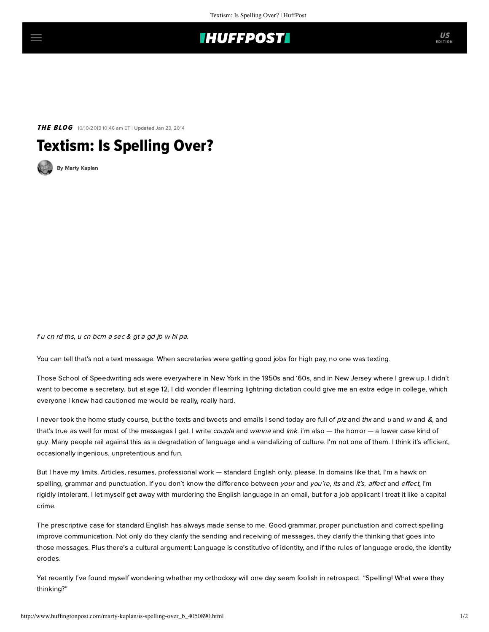## **IHUFFPOSTI**

THE BLOG 10/10/2013 10:46 am ET | Updated Jan 23, 2014

## Textism: Is Spelling Over?

[By Marty Kaplan](http://www.huffingtonpost.com/author/marty-kaplan)

f u cn rd ths, u cn bcm a sec & gt a gd jb w hi pa.

You can tell that's not a text message. When secretaries were getting good jobs for high pay, no one was texting.

Those School of Speedwriting [ads](http://playingintheworldgame.wordpress.com/2012/09/21/f-u-cn-rd-ths-if-you-can-read-this/) were everywhere in New York in the 1950s and '60s, and in New Jersey where I grew up. I didn't want to become a secretary, but at age 12, I did wonder if learning lightning dictation could give me an extra edge in college, which everyone I knew had cautioned me would be really, really hard.

I never took the home study course, but the texts and tweets and emails I send today are full of plz and thx and u and w and &, and that's true as well for most of the messages I get. I write coupla and wanna and Imk. i'm also - the horror - a lower case kind of guy. Many people rail against this as a degradation of language and a vandalizing of culture. I'm not one of them. I think it's efficient, occasionally ingenious, unpretentious and fun.

But I have my limits. Articles, resumes, professional work — standard English only, please. In domains like that, I'm a hawk on spelling, grammar and punctuation. If you don't know the difference between your and you're, its and it's, affect and effect, I'm rigidly intolerant. I let myself get away with murdering the English language in an email, but for a job applicant I treat it like a capital crime.

The prescriptive case for standard English has always made sense to me. Good grammar, proper punctuation and correct spelling improve communication. Not only do they clarify the sending and receiving of messages, they clarify the thinking that goes into those messages. Plus there's a cultural argument: Language is constitutive of identity, and if the rules of language erode, the identity erodes.

Yet recently I've found myself wondering whether my orthodoxy will one day seem foolish in retrospect. "Spelling! What were they thinking?"